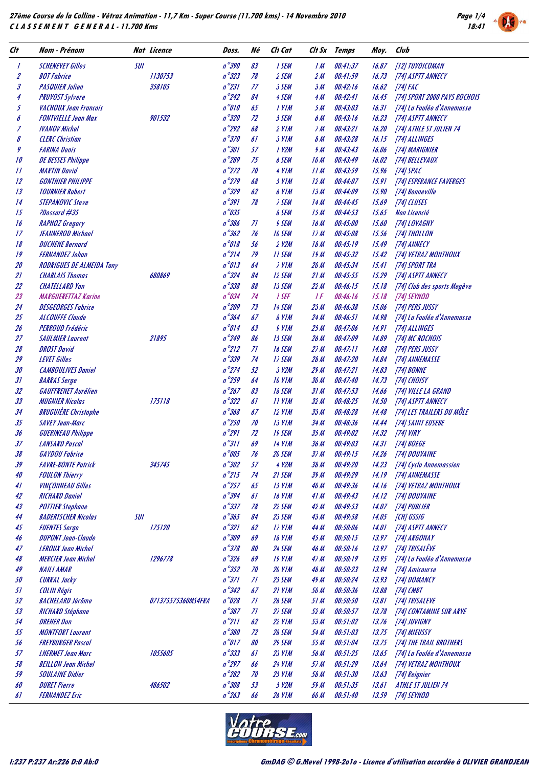

| Clt                        | Nom - Prénom                                           |            | Nat Licence        | Doss.                              | Né       | Ch Cat                  |                 | Ch Sx Temps          | Moy.           | Club                                             |
|----------------------------|--------------------------------------------------------|------------|--------------------|------------------------------------|----------|-------------------------|-----------------|----------------------|----------------|--------------------------------------------------|
| 1                          | <b>SCHENEVEY Gilles</b>                                | <b>SUI</b> |                    | n°390                              | 83       | 1 SEM                   | $\frac{1}{M}$   | 00:41:37             | 16.87          | [12] TUVOICOMAN                                  |
| 2                          | <b>BOT Fabrice</b>                                     |            | 1130753            | $n^{\circ}323$                     | 78       | 2 SEM                   | źΜ              | 00:41:59             | 16.73          | [74] ASPTT ANNECY                                |
| 3                          | <b>PASQUIER Julien</b>                                 |            | 358105             | $n^{\circ}231$                     | 77       | 5 SEM                   | ĴМ              | 00:42:16             | 16.62          | [74] FAC                                         |
| 4                          | <b>PRUVOST Sylvere</b>                                 |            |                    | $n^{\circ}242$                     | 84       | 4 SEM                   | 4M              | 00:42:41             | 16.45          | [74] SPORT 2000 PAYS ROCHOIS                     |
| 5                          | <b>VACHOUX Jean Francois</b>                           |            |                    | $n^{\circ}$ 010                    | 65       | 1 VIM                   | 5M              | 00:43:03             | 16.31          | [74] La Foulée d'Annemasse                       |
| 6                          | <b>FONTVIELLE Jean Max</b>                             |            | 901532             | $n^{\circ}$ 320                    | 72       | 5 SEM                   | 6 M             | 00:43:16             | 16.23          | [74] ASPTT ANNECY                                |
| 7                          | <b>IVANOV Michel</b>                                   |            |                    | $n^{\circ}$ 292                    | 68       | $2$ VIM                 | ìМ              | 00:43:21             | 16.20          | [74] ATHLE ST JULIEN 74                          |
| 8                          | <b>CLERC</b> Christian                                 |            |                    | $n^{\circ}$ 370                    | 61       | 3 VIM                   | $\delta M$      | 00:43:28             | 16.15          | [74] ALLINGES                                    |
| 9                          | <b>FARINA Denis</b>                                    |            |                    | $n^{\circ}301$                     | 57       | 1 V2M                   | 9 M             | 00:43:43             | 16.06          | [74] MARIGNIER                                   |
| 10                         | <b>DE BESSES Philippe</b>                              |            |                    | $n^{\circ}$ 289                    | 75       | 6 SEM                   | 16M             | 00:43:49             | 16.02          | [74] BELLEVAUX                                   |
| $\boldsymbol{\mathit{II}}$ | <b>MARTIN David</b>                                    |            |                    | $n^{\circ}$ 272                    | 70       | 4 VIM                   | 11M             | 00:43:59             | 15.96          | [74] SPAC                                        |
| l2                         | <b>GONTHIER PHILIPPE</b>                               |            |                    | $n^{\circ}$ 279                    | 68       | 5 VIM                   | 12M             | 00:44:07             | 15.91          | [74] ESPERANCE FAVERGES                          |
| 13                         | <b>TOURNIER Robert</b>                                 |            |                    | $n^{\circ}$ 329                    | 62       | 6 VIM                   | 15M             | 00:44:09             | 15.90          | [74] Bonneville                                  |
| 14                         | <b>STEPANOVIC Steve</b>                                |            |                    | $n^{\circ}391$                     | 78       | <i><b>J SEM</b></i>     | 14M             | 00:44:45             | 15.69          | [74] CLUSES                                      |
| 15                         | ?Dossard #35                                           |            |                    | $n^{\circ}$ 035                    |          | <b>&amp; SEM</b>        | 15M             | 00:44:53             | 15.65          | <b>Non Licencié</b>                              |
| 16                         | <b>RAPHOZ Gregory</b>                                  |            |                    | $n^{\circ}$ 386                    | 71       | <b>SEM</b>              | 16M             | 00:45:00             | 15.60          | [74] LOVAGNY                                     |
| 17                         | <b>JEANNEROD Michael</b>                               |            |                    | $n^{\circ}362$                     | 76       | <b>10 SEM</b>           | 1) M            | 00:45:08             | 15.56          | <b>[74] THOLLON</b>                              |
| 18                         | <b>DUCHENE Bernard</b>                                 |            |                    | $n^{\circ}$ 018<br>$n^{\circ}$ 214 | 56       | $2$ $V2M$               | 16M             | 00:45:19             | 15.49          | [74] ANNECY                                      |
| 19                         | <b>FERNANDEZ Johan</b>                                 |            |                    | $n^{\circ}013$                     | 79       | <b>11 SEM</b>           | 19M             | 00:45:32             | 15.42          | [74] VETRAZ MONTHOUX                             |
| 20                         | <b>RODRIGUES DE ALMEIDA Tony</b>                       |            |                    | $n^{\circ}324$                     | 64       | <i>i VIM</i>            | 20 M            | 00:45:34             | 15.41          | [74] SPORT TRA                                   |
| 21<br>22                   | <b>CHABLAIS Thomas</b><br><b>CHATELLARD Yan</b>        |            | 680869             | $n^{\circ}$ 338                    | 84<br>88 | 12 SEM<br>15 SEM        | 21M<br>22M      | 00:45:55<br>00:46:15 | 15.29<br>15.18 | [74] ASPTT ANNECY<br>[74] Club des sports Megève |
| 23                         | <b>MARGUERETTAZ Karine</b>                             |            |                    | $n^{\circ}034$                     | 74       | 1 SEF                   | $\frac{1}{2}$   | 00:46:16             | 15.18          | [74] SEYNOD                                      |
| 24                         | <b>DESGEORGES Fabrice</b>                              |            |                    | $n^{\circ}$ 209                    | 73       | 14 SEM                  | 25M             | 00:46:38             | 15.06          | [74] PERS JUSSY                                  |
| 25                         | <b>ALCOUFFE Claude</b>                                 |            |                    | $n^{\circ}364$                     | 67       | <b>&amp; VIM</b>        | 24 M            | 00:46:51             | 14.98          | [74] La Foulée d'Annemasse                       |
| 26                         | <b>PERROUD Frédéric</b>                                |            |                    | $n^{\circ}$ 014                    | 63       | <b>SVIM</b>             | 25M             | 00:47:06             | 14.91          | [74] ALLINGES                                    |
| 27                         | <b>SAULMIER Laurent</b>                                |            | 21895              | $n^{\circ}$ 249                    | 86       | 15 SEM                  | 26 M            | 00:47:09             | 14.89          | [74] MC ROCHOIS                                  |
| 28                         | <b>DROST David</b>                                     |            |                    | $n^{\circ}$ 212                    | 71       | 16 SEM                  | 2iM             | 00:47:11             | 14.88          | [74] PERS JUSSY                                  |
| 29                         | <b>LEVET Gilles</b>                                    |            |                    | n°339                              | 74       | <b>17 SEM</b>           | 26 M            | 00:47:20             | 14.84          | [74] ANNEMASSE                                   |
| 30                         | <b>CAMBOULIVES Daniel</b>                              |            |                    | $n^{\circ}$ 274                    | 52       | 3 V2M                   | 29 M            | 00:47:21             | 14.83          | [74] BONNE                                       |
| 31                         | <b>BARRAS Serge</b>                                    |            |                    | $n^{\circ}$ 259                    | 64       | <b>10 VIM</b>           | 30 M            | 00:47:40             | 14.73          | [74] CHOISY                                      |
| 32                         | <b>GAUFFRENET Aurélien</b>                             |            |                    | $n^{\circ}267$                     | 83       | <b>18 SEM</b>           | 31M             | 00:47:53             | 14.66          | [74] VILLE LA GRAND                              |
| 33                         | <b>MUGNIER Nicolas</b>                                 |            | 175118             | $n^{\circ}322$                     | 61       | <b>II VIM</b>           | 32M             | 00:48:25             | 14.50          | [74] ASPTT ANNECY                                |
| 34                         | <b>BRUGUIÈRE</b> Christophe                            |            |                    | $n^{\circ}368$                     | 67       | <b>12 VIM</b>           | 35 M            | 00:48:28             | 14.48          | [74] LES TRAILERS DU MÔLE                        |
| 35                         | <b>SAVEY Jean-Marc</b>                                 |            |                    | $n^{\circ}$ 250                    | 70       | <b>15 VIM</b>           | 34 M            | 00:48:36             | 14.44          | [74] SAINT EUSEBE                                |
| 36                         | <b>GUERINEAU Philippe</b>                              |            |                    | $n^{\circ}291$                     | 72       | 19 SEM                  | 35M             | 00:49:02             | 14.32          | [74] VIRY                                        |
| 37                         | <b>LANSARD Pascal</b>                                  |            |                    | $n^{\circ}$ 311                    | 69       | 14 V I M                | 36 M            | 00:49:03             | 14.31          | [74] BOEGE                                       |
| 38                         | <b>GAYDOU Fabrice</b>                                  |            |                    | $n^{\circ}$ 005                    | 76       | 20 SEM                  | 3) M            | 00:49:15             | 14.26          | [74] DOUVAINE                                    |
| 39                         | <b>FAVRE-BONTE Patrick</b>                             |            | 345745             | $n^{\circ}302$                     | 57       | 4 V2M                   | 36 M            | 00:49:20             | 14.23          | [74] Cyclo Annemassien                           |
| 40                         | <b>FOULON Thierry</b>                                  |            |                    | $n^{\circ}$ 215                    | 74       | 21 SEM                  | 39M             | 00:49:29             | 14.19          | [74] ANNEMASSE                                   |
| 41                         | <b>VINCONNEAU Gilles</b>                               |            |                    | $n^{\circ}$ 257                    | 65       | $15$ $VIM$              | 40 M            | 00:49:36             | 14.16          | [74] VETRAZ MONTHOUX                             |
| 42                         | <b>RICHARD Daniel</b>                                  |            |                    | $n^{\circ}$ 394                    | 61       | <b>16 VIM</b>           | 41M             | 00:49:43             | 14.12          | [74] DOUVAINE                                    |
| 43                         | <b>POTTIER Stephane</b>                                |            |                    | $n^{\circ}337$                     | 78       | 22 SEM                  | 42 M            | 00:49:53             | 14.07          | [74] PUBLIER                                     |
| 44                         | <b>BADERTSCHER Nicolas</b>                             | <b>SUI</b> |                    | $n^{\circ}365$                     | 84       | 25 SEM                  | 45M             | 00:49:58             | 14.05          | [CH] GSSIG                                       |
| 45                         | <b>FUENTES Serge</b>                                   |            | 175120             | $n^{\circ}321$                     | 62       | <b>17 VIM</b>           | 44 M            | 00:50:06             | 14.01          | [74] ASPTT ANNECY                                |
| 46                         | <b>DUPONT Jean-Claude</b><br><b>LEROUX Jean Michel</b> |            |                    | $n^{\circ}$ 309<br>$n^{\circ}378$  | 69       | <b>18 VIM</b>           | 45M             | 00:50:15             | 13.97          | [74] ARGONAY                                     |
| 47<br>48                   | <b>MERCIER Jean Michel</b>                             |            | 1296778            | $n^{\circ}326$                     | 80<br>69 | 24 SEM<br><b>19 VIM</b> | 46 M<br>4) M    | 00:50:16<br>00:50:19 | 13.97<br>13.95 | [74] TRISALÈVE<br>[74] La Foulée d'Annemasse     |
| 49                         | <b>NAILI AMAR</b>                                      |            |                    | $n^{\circ}352$                     | 70       | <b>20 VIM</b>           | 46 M            | 00:50:23             | 13.94          | [74] Amicourse                                   |
| 50                         | <b>CURRAL Jacky</b>                                    |            |                    | $n^{\circ}371$                     | ZI       | 25 SEM                  | 49 M            | 00:50:24             | 13.93          | [74] DOMANCY                                     |
| 51                         | <b>COLIN Régis</b>                                     |            |                    | $n^{\circ}342$                     | 67       | $21$ $VIM$              | 50 M            | 00:50:36             | 13.88          | [74] CMBT                                        |
| 52                         | <b>BACHELARD Jérôme</b>                                |            | 071375575360MS4FRA | $n^{\circ}$ 028                    | ZI       | 26 SEM                  | 51M             | 00:50:50             | 13.81          | [74] TRISALEVE                                   |
| 53                         | <b>RICHARD Stéphane</b>                                |            |                    | $n^{\circ}387$                     | ZI       | 27 SEM                  | 52 M            | 00:50:57             | 13.78          | [74] CONTAMINE SUR ARVE                          |
| 54                         | <b>DREHER Don</b>                                      |            |                    | $n^{\circ}$ 211                    | 62       | <b>22 VIM</b>           | 53M             | 00:51:02             | 13.76          | <b>[74] JUVIGNY</b>                              |
| 55                         | <b>MONTFORT Laurent</b>                                |            |                    | n°380                              | 72       | 28 SEM                  | 54 M            | 00:51:03             | 13.75          | [74] MIEUSSY                                     |
| 56                         | <b>FREYBURGER Pascal</b>                               |            |                    | $n^{\circ}017$                     | 80       | 29 SEM                  | 55 M            | 00:51:04             | 13.75          | [74] THE TRAIL BROTHERS                          |
| 57                         | <b>LHERMET Jean Marc</b>                               |            | 1055605            | $n^{\circ}$ 333                    | 61       | 25 V1M                  | 56 M            | 00:51:25             | 13.65          | [74] La Foulée d'Annemasse                       |
| 58                         | <b>BEILLON Jean Michel</b>                             |            |                    | $n^{\circ}$ 297                    | 66       | <b>24 VIM</b>           | 57 <sub>M</sub> | 00:51:29             | 13.64          | [74] VETRAZ MONTHOUX                             |
| 59                         | <b>SOULAINE Didier</b>                                 |            |                    | $n^{\circ}282$                     | 70       | <b>25 V1M</b>           | 56 M            | 00:51:30             | 13.63          | [74] Reignier                                    |
| 60                         | <b>DURET Pierre</b>                                    |            | 486502             | $n^{\circ}$ 308                    | 53       | 5 V2M                   | 59 M            | 00:51:35             | 13.61          | ATHLE ST JULIEN 74                               |
| 61                         | <b>FERNANDEZ Eric</b>                                  |            |                    | $n^{\circ}263$                     | 66       | <b>26 VIM</b>           | 60 M            | 00:51:40             | 13.59          | [74] SEYNOD                                      |
|                            |                                                        |            |                    |                                    |          |                         |                 |                      |                |                                                  |



 $\mathbf{r}$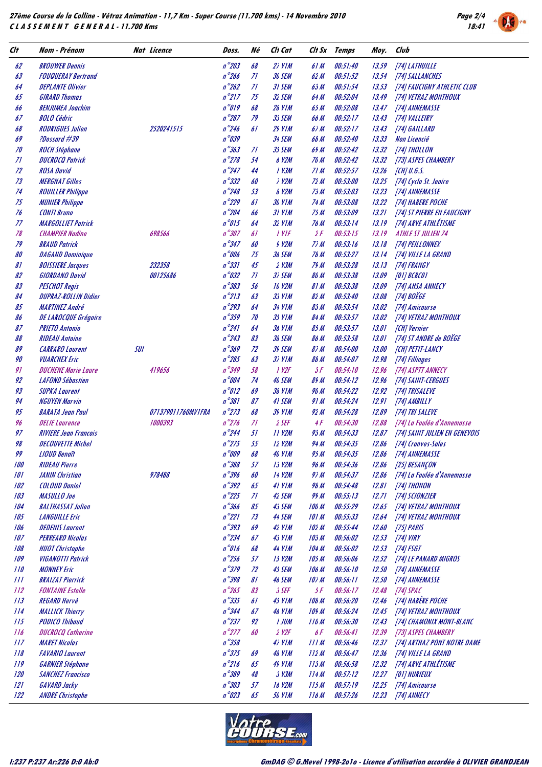

| Clt      | Nom - Prénom                                 | Nat Licence        | Doss.                             | Né            | Ch Cat                  | Ch Sx           | Temps                | Moy.           | Club                           |
|----------|----------------------------------------------|--------------------|-----------------------------------|---------------|-------------------------|-----------------|----------------------|----------------|--------------------------------|
| 62       | <b>BROUWER Dennis</b>                        |                    | $n^{\circ}$ 203                   | 68            | $27$ $VIM$              | 61M             | 00:51:40             | 13.59          | [74] LATHUILLE                 |
| 63       | <b>FOUQUERAY Bertrand</b>                    |                    | $n^{\circ}$ 266                   | 71            | 30 SEM                  | 62 M            | 00:51:52             | 13.54          | <b>[74] SALLANCHES</b>         |
| 64       | <b>DEPLANTE Olivier</b>                      |                    | $n^{\circ}262$                    | ZI            | 31 SEM                  | 65 M            | 00:51:54             | 13.53          | [74] FAUCIGNY ATHLETIC CLUB    |
| 65       | <b>GIRARD Thomas</b>                         |                    | $n^{\circ}$ 217                   | 75            | 32 SEM                  | 64 M            | 00:52:04             | 13.49          | [74] VETRAZ MONTHOUX           |
| 66       | <b>BENJUMEA Joachim</b>                      |                    | $n^{\circ}$ 019                   | 68            | <b>28 VIM</b>           | 65M             | 00:52:08             | 13.47          | [74] ANNEMASSE                 |
| 67       | <b>BOLO Cédric</b>                           |                    | $n^{\circ}287$                    | 79            | 35 SEM                  | 66 M            | 00:52:17             | 13.43          | [74] VALLEIRY                  |
| 68       | <b>RODRIGUES Julien</b>                      | 2520241515         | $n^{\circ}$ 246                   | 61            | <b>29 VIM</b>           | 67 <sub>M</sub> | 00:52:17             | 13.43          | [74] GAILLARD                  |
| 69       | ?Dossard #39                                 |                    | $n^{\circ}$ 039                   |               | 34 SEM                  | 66 M            | 00:52:40             | 13.33          | <b>Non Licencié</b>            |
| 70       | <b>ROCH Stéphane</b>                         |                    | $n^{\circ}363$                    | ZI            | 35 SEM                  | 65 M            | 00:52:42             | 13.32          | [74] THOLLON                   |
| ZI       | <b>DUCROCQ Patrick</b>                       |                    | $n^{\circ}$ 278                   | 54            | 6 V2M                   | 70 M            | 00:52:42             | 13.32          | [73] ASPES CHAMBERY            |
| 72       | <b>ROSA David</b>                            |                    | $n^{\circ}$ 247                   | 44            | 1 V3M                   | 71M             | 00:52:57             | 13.26          | [CH] U.G.S.                    |
| 73       | <b>MERGNAT Gilles</b>                        |                    | $n^{\circ}332$                    | 60            | <i><b>7 V2M</b></i>     | 72 M            | 00:53:00             | 13.25          | [74] Cyclo St. Jeoire          |
| 74       | <b>ROUILLER Philippe</b>                     |                    | $n^{\circ}$ 248                   | 53            | <b>&amp; V2M</b>        | 75 M            | 00:53:03             | 13.23          | [74] ANNEMASSE                 |
| 75       | <b>MUNIER Philippe</b>                       |                    | $n^{\circ}$ 229                   | 61            | <b>30 VIM</b>           | 74 M            | 00:53:08             | 13.22          | [74] HABERE POCHE              |
| 76       | <b>CONTI Bruno</b>                           |                    | $n^{\circ}$ 204                   | 66            | $31$ $VIM$              | 75 M            | 00:53:09             | 13.21          | [74] ST PIERRE EN FAUCIGNY     |
| 77       | <b>MARGOLLIET Patrick</b>                    |                    | $n^{\circ}$ 015                   | 64            | 32 VIM                  | 76 M            | 00:53:14             | 13.19          | [74] ARVE ATHLÉTISME           |
| 78       | <b>CHAMPIER Nadine</b>                       | 698566             | $n^{\circ}307$                    | 61            | $1$ VIF                 | 2 F             | 00:53:15             | 13.19          | ATHLE ST JULIEN 74             |
| 79       | <b>BRAUD Patrick</b>                         |                    | $n^{\circ}$ 347                   | 60            | <b>9 V2M</b>            | 77M             | 00:53:16             | 13.18          | [74] PEILLONNEX                |
| 80       | <b>DAGAND Dominique</b>                      |                    | $n^{\circ}$ 006                   | 75            | 36 SEM                  | 78 M            | 00:53:27             | 13.14          | [74] VILLE LA GRAND            |
| 81       | <b>BOISSIERE Jacques</b>                     | 232358             | $n^{\circ}331$                    | 45            | $2$ $V3M$               | 75 M            | 00:53:28             | 13.13          | [74] FRANGY                    |
| 82       | <b>GIORDANO David</b>                        | 00125686           | $n^{\circ}032$                    | 71            | 37 SEM                  | 80 M            | 00:53:38             | 13.09          | [O1] BCBCO1                    |
| 83       | <b>PESCHOT Regis</b>                         |                    | $n^{\circ}$ 383                   | 56            | <b>10 V2M</b>           | 81M             | 00:53:38             | 13.09          | [74] AHSA ANNECY               |
| 84       | <b>DUPRAZ-ROLLIN Didier</b>                  |                    | $n^{\circ}$ 213                   | 63            | $33$ $VIM$              | 82 M            | 00:53:40             | 13.08          | [74] BOËGE                     |
| 85       | <b>MARTINEZ André</b>                        |                    | $n^{\circ}$ 293                   | 64            | 34 V1M                  | 85 M            | 00:53:54             | 13.02          | [74] Amicourse                 |
| 86       | <b>DE LAROCQUE Grégoire</b>                  |                    | $n^{\circ}$ 359                   | 70            | 35 VIM                  | 84 M            | 00:53:57             | 13.02          | [74] VETRAZ MONTHOUX           |
| 87       | <b>PRIETO Antonio</b>                        |                    | $n^{\circ}$ 241                   | 64            | 36 VIM                  | 85 M            | 00:53:57             | 13.01          | [CH] Vernier                   |
| 88       | <b>RIDEAU Antoine</b>                        |                    | $n^{\circ}$ 243                   | 83            | 38 SEM                  | 86 M            | 00:53:58             | 13.01          | [74] ST ANDRE de BOËGE         |
| 89       | <b>CARRARO Laurent</b>                       | <b>SUI</b>         | $n^{\circ}$ 369                   | 72            | 39 SEM                  | 8 i M           | 00:54:00             | 13.00          | [CH] PETIT-LANCY               |
| 90       | <b>VUARCHEX Eric</b>                         |                    | $n^{\circ}285$<br>$n^{\circ}$ 349 | 63            | $37$ $VIM$              | 86 M            | 00:54:07             | 12.98          | [74] Fillinges                 |
| 91       | <b>DUCHENE Marie Laure</b>                   | 419656             | $n^{\circ}004$                    | 58            | 1 V2F                   | ΰF              | 00:54:10             | 12.96          | [74] ASPTT ANNECY              |
| 92       | <b>LAFOND Sébastien</b>                      |                    | $n^{\circ}012$                    | 74<br>69      | 40 SEM                  | 85 M            | 00:54:12             | 12.96          | [74] SAINT-CERGUES             |
| 93<br>94 | <b>SUPKA Laurent</b><br><b>NGUYEN Marvin</b> |                    | $n^{\circ}381$                    | 87            | <b>38 VIM</b><br>41 SEM | 96 M<br>91 M    | 00:54:22<br>00:54:24 | 12.92<br>12.91 | [74] TRISALEVE<br>[74] AMBILLY |
| 95       | <b>BARATA Jean Paul</b>                      | 071379011760MV1FRA | $n^{\circ}$ 273                   | 68            | 39 VIM                  | 92 M            | 00:54:28             | 12.89          | [74] TRI SALEVE                |
| 96       | <b>DELIE Laurence</b>                        | 1000393            | $n^{\circ}$ 276                   | ZI            | 2 SEF                   | 4F              | 00:54:30             | 12.88          | [74] La Foulée d'Annemasse     |
| 97       | <b>RIVIERE Jean Francois</b>                 |                    | $n^{\circ}$ 244                   | 51            | <b>11 V2M</b>           | 95 M            | 00:54:33             | 12.87          | [74] SAINT JULIEN EN GENEVOIS  |
| 98       | <b>DECOUVETTE Michel</b>                     |                    | $n^{\circ}$ 275                   | 55            | <b>12 V2M</b>           | 94 M            | 00:54:35             | 12.86          | [74] Cranves-Sales             |
| 99       | <b>LIOUD Benoît</b>                          |                    | n°009                             | 68            | <b>40 VIM</b>           | 95 M            | 00:54:35             | 12.86          | [74] ANNEMASSE                 |
| 100      | <b>RIDEAU Pierre</b>                         |                    | $n^{\circ}$ 388                   | 57            | 15 V2M                  | 96 M            | 00:54:36             | 12.86          | [25] BESANÇON                  |
| 101      | <b>JANIN Christian</b>                       | 978488             | $n^{\circ}$ 396                   | 60            | 14 V2M                  | 97M             | 00:54:37             | 12.86          | [74] La Foulée d'Annemasse     |
| 102      | <b>COLOUD Daniel</b>                         |                    | $n^{\circ}392$                    | 65            | 41 VIM                  | 96 M            | 00:54:48             | 12.81          | [74] THONON                    |
| 103      | <b>MASULLO Joe</b>                           |                    | $n^{\circ}$ 225                   | $\mathcal{J}$ | 42 SEM                  | 95 M            | 00:55:13             | 12.71          | [74] SCIONZIER                 |
| 104      | <b>BALTHASSAT Julien</b>                     |                    | $n^{\circ}$ 366                   | 85            | 45 SEM                  | <b>100 M</b>    | 00:55:29             | 12.65          | [74] VETRAZ MONTHOUX           |
| 105      | <b>LANGUILLE Eric</b>                        |                    | $n^{\circ}221$                    | 73            | 44 SEM                  | <b>101 M</b>    | 00:55:33             | 12.64          | [74] VETRAZ MONTHOUX           |
| 106      | <b>DEDENIS Laurent</b>                       |                    | $n^{\circ}$ 393                   | 69            | 42 VIM                  | 102 M           | 00:55:44             | 12.60          | [75] PARIS                     |
| 107      | <b>PERREARD Nicolas</b>                      |                    | $n^{\circ}$ 234                   | 67            | 45 VIM                  | 105 M           | 00:56:02             | 12.53          | [74] VIRY                      |
| 108      | <b>HUOT</b> Christophe                       |                    | $n^{\circ}$ 016                   | 68            | <b>44 VIM</b>           | 104 M           | 00:56:02             | 12.53          | [74] FSGT                      |
| 109      | <b>VIGANOTTI Patrick</b>                     |                    | $n^{\circ}$ 256                   | 57            | <b>15 V2M</b>           | 105 M           | 00:56:06             | 12.52          | [74] LE PANARD MIGROS          |
| 110      | <b>MONNEY Eric</b>                           |                    | $n^{\circ}$ 379                   | 72            | 45 SEM                  | 106 M           | 00:56:10             | 12.50          | [74] ANNEMASSE                 |
| III      | <b>BRAIZAT Pierrick</b>                      |                    | $n^{\circ}$ 398                   | 81            | 46 SEM                  | 10; M           | 00:56:11             | 12.50          | [74] ANNEMASSE                 |
| 112      | <b>FONTAINE Estelle</b>                      |                    | $n^{\circ}265$                    | 83            | 3 SEF                   | 3 F             | 00:56:17             | 12.48          | [74] SPAC                      |
| 113      | <b>REGARD Hervé</b>                          |                    | $n^{\circ}335$                    | 61            | <b>45 VIM</b>           | 106 M           | 00:56:20             | 12.46          | [74] HABÈRE POCHE              |
| 114      | <b>MALLICK Thierry</b>                       |                    | $n^{\circ}$ 344                   | 67            | <b>46 VIM</b>           | 105 M           | 00:56:24             | 12.45          | [74] VETRAZ MONTHOUX           |
| 115      | <b>PODICO Thibaud</b>                        |                    | $n^{\circ}$ 237                   | 92            | <b>I JUM</b>            | 116M            | 00:56:30             | 12.43          | [74] CHAMONIX MONT-BLANC       |
| 116      | <b>DUCROCQ Catherine</b>                     |                    | $n^{\circ}$ 277                   | 60            | $2$ V2F                 | 6 F             | 00:56:41             | 12.39          | [73] ASPES CHAMBERY            |
| 117      | <b>MARET Nicolas</b>                         |                    | $n^{\circ}358$                    |               | 4) VIM                  | IIIM            | 00:56:46             | 12.37          | [74] ARTHAZ PONT NOTRE DAME    |
| 118      | <b>FAVARIO Laurent</b>                       |                    | $n^{\circ}375$                    | 69            | <b>48 VIM</b>           | 112M            | 00:56:47             | 12.36          | [74] VILLE LA GRAND            |
| 119      | <b>GARNIER Stéphane</b>                      |                    | $n^{\circ}$ 216                   | 65            | <b>49 VIM</b>           | 115M            | 00:56:58             | 12.32          | [74] ARVE ATHLÉTISME           |
| 120      | <b>SANCHEZ Francisco</b>                     |                    | n°389                             | 48            | $3$ $V3M$               | 114M            | 00:57:12             | 12.27          | [O1] NURIEUX                   |
| 121      | <b>GAVARD Jacky</b>                          |                    | $n^{\circ}303$                    | 57            | <b>16 V2M</b>           | 115M            | 00:57:19             | 12.25          | [74] Amicourse                 |
| 122      | <b>ANDRE Christophe</b>                      |                    | $n^{\circ}023$                    | 65            | <b>50 VIM</b>           | 116M            | 00:57:26             | 12.23          | [74] ANNECY                    |
|          |                                              |                    |                                   |               |                         |                 |                      |                |                                |

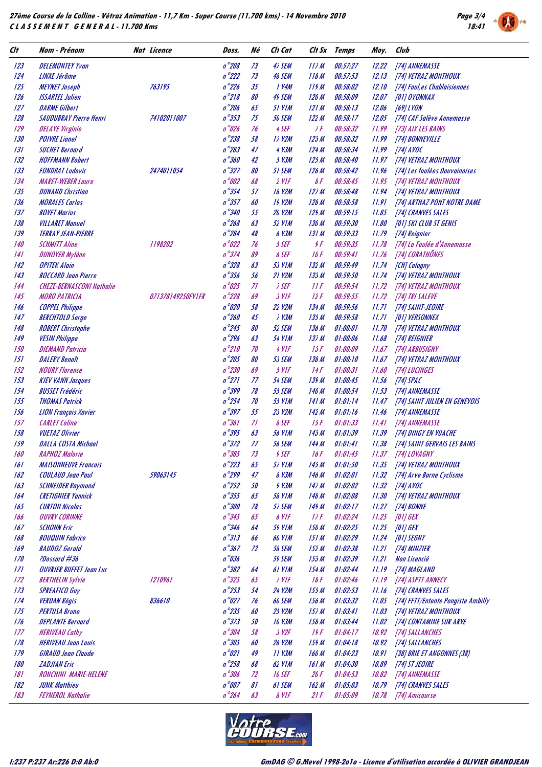

| Clt        | Nom - Prénom                                     | <b>Nat Licence</b> | Doss.                              | Né                       | Ch Cat                            |                   | Ch Sx Temps          | Moy.         | Club                               |
|------------|--------------------------------------------------|--------------------|------------------------------------|--------------------------|-----------------------------------|-------------------|----------------------|--------------|------------------------------------|
| 123        | <b>DELEMONTEY Yvan</b>                           |                    | $n^{\circ}$ 208                    | 73                       | 4) SEM                            | 11 <sub>i</sub> M | 00:57:27             | 12.22        | [74] ANNEMASSE                     |
| 124        | <b>LINXE Jérôme</b>                              |                    | $n^{\circ}222$                     | 73                       | 48 SEM                            | 116M              | 00:57:53             | 12.13        | [74] VETRAZ MONTHOUX               |
| 125        | <b>MEYNET Joseph</b>                             | 763195             | $n^{\circ}$ 226                    | 35                       | 1 V4M                             | 115M              | 00:58:02             | 12.10        | [74] Foul, es Chablaisiennes       |
| 126        | <b>ISSARTEL Julien</b>                           |                    | $n^{\circ}$ 218                    | 80                       | 49 SEM                            | 120M              | 00:58:09             | 12.07        | [01] OYONNAX                       |
| 127        | <b>DARME Gilbert</b>                             |                    | $n^{\circ}$ 206                    | 65                       | 51 VIM                            | 121M              | 00:58:13             | 12.06        | [69] LYON                          |
| 128        | <b>SAUDUBRAY Pierre Henri</b>                    | 74102011007        | $n^{\circ}353$                     | 75                       | 50 SEM                            | 122M              | 00:58:17             | 12.05        | [74] CAF Salève Annemasse          |
| 129        | <b>DELAYE Virginie</b>                           |                    | $n^{\circ}026$                     | 76                       | 4 SEF                             | $\lambda F$       | 00:58:32             | 11.99        | [73] AIX LES BAINS                 |
| 130        | <b>POIVRE</b> Lionel                             |                    | $n^{\circ}$ 238                    | 58                       | <b>17 V2M</b>                     | 125M              | 00:58:32             | 11.99        | <b>[74] BONNEVILLE</b>             |
| 131        | <b>SUCHET Bernard</b>                            |                    | $n^{\circ}$ 283                    | 47                       | 4 V3M                             | 124M              | 00:58:34             | 11.99        | [74] AVOC                          |
| 132        | <b>HOFFMANN Robert</b>                           |                    | $n^{\circ}$ 360                    | 42                       | $5$ $V3M$                         | 125M              | 00:58:40             | 11.97        | [74] VETRAZ MONTHOUX               |
| 133        | <b>FONDRAT Ludovic</b>                           | 2474011054         | $n^{\circ}327$                     | 80                       | 51 SEM                            | 126M              | 00:58:42             | 11.96        | [74] Les foulées Douvainoises      |
| 134        | <b>MARET-WEBER Laure</b>                         |                    | $n^{\circ}002$                     | 68                       | 2 VIF                             | $\delta F$        | 00:58:45             | 11.95        | [74] VETRAZ MONTHOUX               |
| 135        | <b>DUNAND Christian</b>                          |                    | $n^{\circ}354$                     | 57                       | <b>18 V2M</b>                     | 12iM              | 00:58:48             | 11.94        | [74] VETRAZ MONTHOUX               |
| 136        | <b>MORALES Carlos</b>                            |                    | $n^{\circ}357$                     | 60                       | <b>19 V2M</b>                     | 126 M             | 00:58:58             | 11.91        | [74] ARTHAZ PONT NOTRE DAME        |
| 137        | <b>BOVET Marius</b>                              |                    | $n^{\circ}$ 340                    | 55                       | <b>20 V2M</b>                     | 129M              | 00:59:15             | 11.85        | [74] CRANVES SALES                 |
| 138        | <b>VILLARET Manuel</b>                           |                    | $n^{\circ}$ 268                    | 63                       | <b>52 VIM</b>                     | 130 M             | 00:59:30             | 11.80        | [O1] SKI CLUB ST GENIS             |
| 139        | TERRAY JEAN-PIERRE                               |                    | $n^{\circ}$ 284                    | 48                       | 6 V3M                             | 131M              | 00:59:33             | 11.79        | [74] Reignier                      |
| <b>140</b> | <b>SCHMITT Aline</b>                             | 1198202            | $n^{\circ}022$                     | 76                       | 5 SEF                             | 9 F               | 00:59:35             | 11.78        | [74] La Foulée d'Annemasse         |
| 141        | <b>DUNOYER Mylène</b>                            |                    | $n^{\circ}374$                     | 89                       | 6 SEF                             | 16F               | 00:59:41             | 11.76        | [74] CORATHÔNES                    |
| 142        | <b>OPITEK Alain</b>                              |                    | $n^{\circ}$ 328                    | 63                       | 55 VIM                            | 132 M             | 00:59:49             | 11.74        | [CH] Cologny                       |
| 143        | <b>BOCCARD Jean Pierre</b>                       |                    | $n^{\circ}356$                     | 56                       | 21 V2M                            | 135M              | 00:59:50             | 11.74        | [74] VETRAZ MONTHOUX               |
| 144        | <b>CHEZE-BERNASCONI Nathalie</b>                 |                    | $n^{\circ}025$                     | 71                       | <i>i</i> SEF                      | IIF               | 00:59:54             | 11.72        | [74] VETRAZ MONTHOUX               |
| 145        | <b>MORO PATRICIA</b>                             | 071378149250FV1FR  | $n^{\circ}$ 228                    | 69                       | $3$ VIF                           | 12F               | 00:59:55             | 11.72        | [74] TRI SALEVE                    |
| 146        | <b>COPPEL Philippe</b>                           |                    | $n^{\circ}020$                     | 58                       | <b>22 V2M</b>                     | 134M              | 00:59:56             | 11.71        | [74] SAINT-JEOIRE                  |
| 147        | <b>BERCHTOLD Serge</b>                           |                    | $n^{\circ}$ 260                    | 45                       | <b>7 V3M</b>                      | 135M              | 00:59:58             | 11.71        | [01] VERSONNEX                     |
| 148        | <b>ROBERT</b> Christophe                         |                    | $n^{\circ}$ 245                    | 80                       | 52 SEM                            | 136 M             | 01:00:01             | 11.70        | [74] VETRAZ MONTHOUX               |
| 149        | <b>VESIN Philippe</b>                            |                    | $n^{\circ}$ 296                    | 63                       | 54 VIM                            | 13iM              | 01:00:06             | 11.68        | [74] REIGNIER                      |
| 150        | <b>DIEMAND Patricia</b>                          |                    | $n^{\circ}$ 210                    | 70                       | $4$ VIF                           | 15 F              | 01:00:09             | 11.67        | [74] ARBUSIGNY                     |
| 151        | <b>DALERY Benoît</b>                             |                    | $n^{\circ}$ 205                    | 80                       | 55 SEM                            | 136 M             | 01:00:10             | 11.67        | [74] VETRAZ MONTHOUX               |
| 152        | <b>NOURY Florence</b>                            |                    | $n^{\circ}$ 230                    | 69                       | 3 VIF                             | 14 F              | 01:00:31             | 11.60        | [74] LUCINGES                      |
| 153        | <b>KIEV VANN Jacques</b>                         |                    | $n^{\circ}$ 271                    | 77                       | 54 SEM                            | 139M              | 01:00:45             | 11.56        | [74] SPAC                          |
| 154        | <b>BUSSET Frédéric</b>                           |                    | $n^{\circ}$ 399                    | 78                       | 55 SEM                            | 140 M             | 01:00:54             | 11.53        | [74] ANNEMASSE                     |
| 155        | <b>THOMAS Patrick</b>                            |                    | $n^{\circ}$ 254                    | 70                       | <b>55 VIM</b>                     | 141M              | 01:01:14             | 11.47        | [74] SAINT JULIEN EN GENEVOIS      |
| 156        | <b>LION François Xavier</b>                      |                    | $n^{\circ}397$                     | 55                       | 25 V2M                            | 142M              | 01:01:16             | 11.46        | [74] ANNEMASSE                     |
| 157        | <b>CARLET Coline</b>                             |                    | $n^{\circ}361$                     | $\overline{\mathcal{U}}$ | <b>&amp; SEF</b>                  | 15F               | 01:01:33             | 11.41        | [74] ANNEMASSE                     |
| 158        | <b>VUETAZ Olivier</b>                            |                    | $n^{\circ}395$                     | 63                       | <b>56 VIM</b>                     | 145 M             | 01:01:39             | 11.39        | [74] DINGY EN VUACHE               |
| 159        | <b>DALLA COSTA Michael</b>                       |                    | $n^{\circ}372$                     | 77                       | 56 SEM                            | 144 M             | 01:01:41             | 11.38        | [74] SAINT GERVAIS LES BAINS       |
| 160        | <b>RAPHOZ Malorie</b>                            |                    | $n^{\circ}385$                     | 73                       | <b>SEF</b>                        | 16F               | 01:01:45             |              | 11.37 [74] LOVAGNY                 |
| 161        | <b>MAISONNEUVE Francois</b>                      |                    | $n^{\circ}$ 223                    | 65                       | 57 VIM                            | 145M              | 01:01:50             |              | 11.35 [74] VETRAZ MONTHOUX         |
| 162        | <b>COULAUD Jean Paul</b>                         | 59063145           | $n^{\circ}$ 299                    | 47                       | <b>&amp; V3M</b>                  | 146 M             | 01:02:01             | 11.32        | [74] Arve Borne Cyclisme           |
| 163        | <b>SCHNEIDER Raymond</b>                         |                    | $n^{\circ}$ 252                    | 50                       | <b>9 V3M</b>                      | 14 <i>i</i> M     | 01:02:02             | 11.32        | [74] AVOC                          |
| 164        | <b>CRETIGNIER Yannick</b>                        |                    | $n^{\circ}355$                     | 65                       | <b>56 VIM</b>                     | 146 M             | 01:02:08             | 11.30        | [74] VETRAZ MONTHOUX               |
| 165        | <b>CURTON Nicolas</b>                            |                    | $n^{\circ}$ 300                    | 78                       | 57 SEM                            | 149 M             | 01:02:17             | 11.27        | [74] BONNE                         |
| 166        | <b>OUVRY CORINNE</b>                             |                    | $n^{\circ}345$                     | 65                       | 6 VIF                             | $\overline{D}F$   | 01:02:24             | 11.25        | [01] GEX                           |
| 167        | <b>SCHOHN Eric</b>                               |                    | $n^{\circ}$ 346                    | 64                       | <b>59 VIM</b>                     | 150 M             | 01:02:25             | 11.25        | <b>[01] GEX</b>                    |
| 168        | <b>BOUQUIN Fabrice</b>                           |                    | $n^{\circ}313$                     | 66                       | <b>60 VIM</b>                     | 151M              | 01:02:29             | 11.24        | [01] SEGNY                         |
| 169        | <b>BAUDOZ</b> Gerald                             |                    | $n^{\circ}367$                     | 72                       | 56 SEM                            | 152M              | 01:02:38             | 11.21        | [74] MINZIER                       |
| 170        | ?Dossard #36                                     |                    | $n^{\circ}$ 036                    |                          | 59 SEM                            | 153 M             | 01:02:39             | 11.21        | <b>Non Licencié</b>                |
| $171$      | <b>OUVRIER BUFFET Jean Luc</b>                   |                    | $n^{\circ}382$                     | 64                       | 61 VIM                            | 154 M             | 01:02:44             | 11.19        | [74] MAGLAND                       |
| 172        | <b>BERTHELIN Sylvie</b>                          | 1210961            | $n^{\circ}325$                     | 65                       | <i>i</i> VIF                      | 16F               | 01:02:46             | 11.19        | [74] ASPTT ANNECY                  |
| 173        | <b>SPREAFICO Guy</b>                             |                    | $n^{\circ}$ 253                    | 54                       | <b>24 V2M</b>                     | 155 M             | 01:02:53             | <i>11.16</i> | [74] CRANVES SALES                 |
| 174        | <b>VERDAN Régis</b>                              | 836610             | $n^{\circ}027$                     | 76                       | 60 SEM                            | 156 M             | 01:03:32             | 11.05        | [74] FFTT/Entente Pongiste Ambilly |
| 175        | <b>PERTUSA Bruno</b>                             |                    | $n^{\circ}$ 235                    | 60                       | <b>25 V2M</b>                     | 15 <sub>i</sub> M | 01:03:41             | 11.03        | [74] VETRAZ MONTHOUX               |
| 176        | <b>DEPLANTE Bernard</b>                          |                    | $n^{\circ}373$                     | 50                       | <b>10 V3M</b>                     | 156 M             | 01:03:44             | 11.02        | [74] CONTAMINE SUR ARVE            |
| 177        | <b>HERIVEAU Cathy</b>                            |                    | $n^{\circ}304$                     | 58                       | 3 V2F                             | 15 F              | 01:04:17             | 10.92        | [74] SALLANCHES                    |
| 178        | <b>HERIVEAU Jean Louis</b>                       |                    | $n^{\circ}305$                     | 60                       | <b>26 V2M</b>                     | 159M              | 01:04:18             | 10.92        | [74] SALLANCHES                    |
| 179        | <b>GIRAUD Jean Claude</b>                        |                    | $n^{\circ}021$                     | 49                       | <b>11 V3M</b>                     | 160 M             | 01:04:23             | 10.91        | [38] BRIE ET ANGONNES (38)         |
| 180        | <b>ZADJIAN Eric</b>                              |                    | $n^{\circ}$ 258                    | 68                       | <b>62 VIM</b>                     | 161M              | 01:04:30             | 10.89        | [74] ST JEOIRE                     |
| 181        | RONCHINI MARIE-HELENE                            |                    | $n^{\circ}306$                     | 72                       | <b>10 SEF</b>                     | 20 F              | 01:04:53             | 10.82        | [74] ANNEMASSE                     |
| 182<br>183 | <b>JUNK Matthieu</b><br><b>FEYNEROL Nathalie</b> |                    | $n^{\circ}$ 007<br>$n^{\circ}$ 264 | 81<br>63                 | 61 SEM<br><i><b>&amp; VIF</b></i> | 162 M             | 01:05:03<br>01:05:09 | 10.79        | [74] CRANVES SALES                 |
|            |                                                  |                    |                                    |                          |                                   | 21F               |                      | 10.78        | [74] Amicourse                     |



 $\overline{\phantom{a}}$